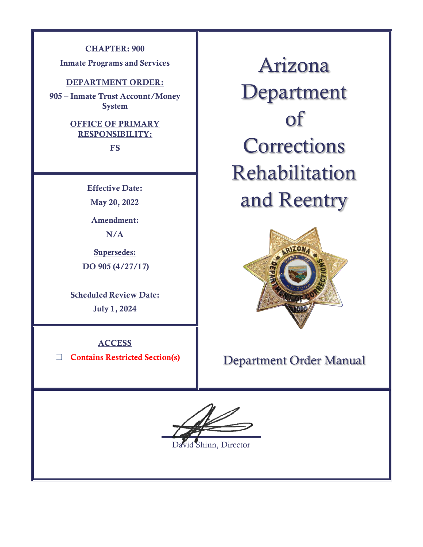### **CHAPTER: 900**

**Inmate Programs and Services**

### **DEPARTMENT ORDER:**

**905 – Inmate Trust Account/Money System**

## **OFFICE OF PRIMARY RESPONSIBILITY:**

**FS**

**Effective Date: May 20, 2022**

**Amendment: N/A**

**Supersedes: DO 905 (4/27/17)**

**Scheduled Review Date: July 1, 2024**

**ACCESS**

☐ **Contains Restricted Section(s)**

Arizona Department of **Corrections** Rehabilitation and Reentry



# Department Order Manual

 $\overline{a}$ hinn, Director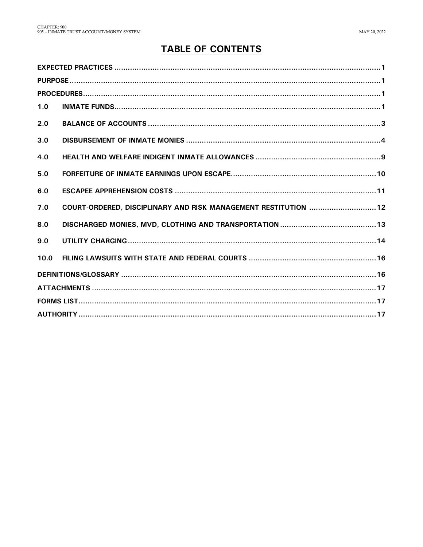## **TABLE OF CONTENTS**

| 1.0  |                                                                 |  |  |
|------|-----------------------------------------------------------------|--|--|
| 2.0  |                                                                 |  |  |
| 3.0  |                                                                 |  |  |
| 4.0  |                                                                 |  |  |
| 5.0  |                                                                 |  |  |
| 6.0  |                                                                 |  |  |
| 7.0  | COURT-ORDERED, DISCIPLINARY AND RISK MANAGEMENT RESTITUTION  12 |  |  |
| 8.0  |                                                                 |  |  |
| 9.0  |                                                                 |  |  |
| 10.0 |                                                                 |  |  |
|      |                                                                 |  |  |
|      |                                                                 |  |  |
|      |                                                                 |  |  |
|      |                                                                 |  |  |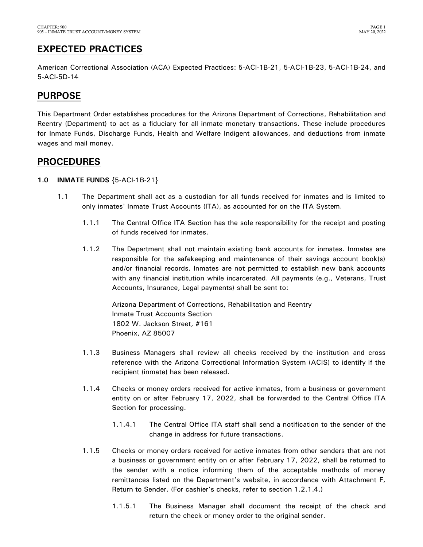## <span id="page-2-0"></span>**EXPECTED PRACTICES**

American Correctional Association (ACA) Expected Practices: 5-ACI-1B-21, 5-ACI-1B-23, 5-ACI-1B-24, and 5-ACI-5D-14

## <span id="page-2-1"></span>**PURPOSE**

This Department Order establishes procedures for the Arizona Department of Corrections, Rehabilitation and Reentry (Department) to act as a fiduciary for all inmate monetary transactions. These include procedures for Inmate Funds, Discharge Funds, Health and Welfare Indigent allowances, and deductions from inmate wages and mail money.

## <span id="page-2-2"></span>**PROCEDURES**

### <span id="page-2-3"></span>**1.0 INMATE FUNDS** {5-ACI-1B-21}

- 1.1 The Department shall act as a custodian for all funds received for inmates and is limited to only inmates' Inmate Trust Accounts (ITA), as accounted for on the ITA System.
	- 1.1.1 The Central Office ITA Section has the sole responsibility for the receipt and posting of funds received for inmates.
	- 1.1.2 The Department shall not maintain existing bank accounts for inmates. Inmates are responsible for the safekeeping and maintenance of their savings account book(s) and/or financial records. Inmates are not permitted to establish new bank accounts with any financial institution while incarcerated. All payments (e.g., Veterans, Trust Accounts, Insurance, Legal payments) shall be sent to:

Arizona Department of Corrections, Rehabilitation and Reentry Inmate Trust Accounts Section 1802 W. Jackson Street, #161 Phoenix, AZ 85007

- 1.1.3 Business Managers shall review all checks received by the institution and cross reference with the Arizona Correctional Information System (ACIS) to identify if the recipient (inmate) has been released.
- 1.1.4 Checks or money orders received for active inmates, from a business or government entity on or after February 17, 2022, shall be forwarded to the Central Office ITA Section for processing.
	- 1.1.4.1 The Central Office ITA staff shall send a notification to the sender of the change in address for future transactions.
- 1.1.5 Checks or money orders received for active inmates from other senders that are not a business or government entity on or after February 17, 2022, shall be returned to the sender with a notice informing them of the acceptable methods of money remittances listed on the Department's website, in accordance with Attachment F, Return to Sender. (For cashier's checks, refer to section 1.2.1.4.)
	- 1.1.5.1 The Business Manager shall document the receipt of the check and return the check or money order to the original sender.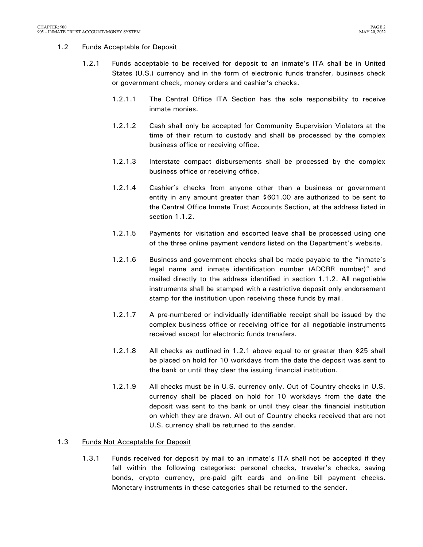### 1.2 Funds Acceptable for Deposit

- 1.2.1 Funds acceptable to be received for deposit to an inmate's ITA shall be in United States (U.S.) currency and in the form of electronic funds transfer, business check or government check, money orders and cashier's checks.
	- 1.2.1.1 The Central Office ITA Section has the sole responsibility to receive inmate monies.
	- 1.2.1.2 Cash shall only be accepted for Community Supervision Violators at the time of their return to custody and shall be processed by the complex business office or receiving office.
	- 1.2.1.3 Interstate compact disbursements shall be processed by the complex business office or receiving office.
	- 1.2.1.4 Cashier's checks from anyone other than a business or government entity in any amount greater than \$601.00 are authorized to be sent to the Central Office Inmate Trust Accounts Section, at the address listed in section 1.1.2.
	- 1.2.1.5 Payments for visitation and escorted leave shall be processed using one of the three online payment vendors listed on the Department's website.
	- 1.2.1.6 Business and government checks shall be made payable to the "inmate's legal name and inmate identification number (ADCRR number)" and mailed directly to the address identified in section 1.1.2. All negotiable instruments shall be stamped with a restrictive deposit only endorsement stamp for the institution upon receiving these funds by mail.
	- 1.2.1.7 A pre-numbered or individually identifiable receipt shall be issued by the complex business office or receiving office for all negotiable instruments received except for electronic funds transfers.
	- 1.2.1.8 All checks as outlined in 1.2.1 above equal to or greater than \$25 shall be placed on hold for 10 workdays from the date the deposit was sent to the bank or until they clear the issuing financial institution.
	- 1.2.1.9 All checks must be in U.S. currency only. Out of Country checks in U.S. currency shall be placed on hold for 10 workdays from the date the deposit was sent to the bank or until they clear the financial institution on which they are drawn. All out of Country checks received that are not U.S. currency shall be returned to the sender.

### 1.3 Funds Not Acceptable for Deposit

1.3.1 Funds received for deposit by mail to an inmate's ITA shall not be accepted if they fall within the following categories: personal checks, traveler's checks, saving bonds, crypto currency, pre-paid gift cards and on-line bill payment checks. Monetary instruments in these categories shall be returned to the sender.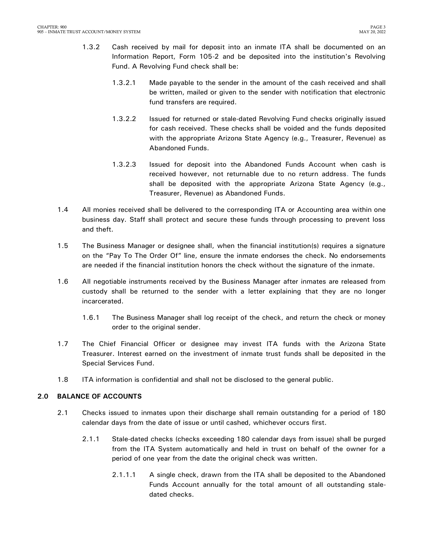- 1.3.2 Cash received by mail for deposit into an inmate ITA shall be documented on an Information Report, Form 105-2 and be deposited into the institution's Revolving Fund. A Revolving Fund check shall be:
	- 1.3.2.1 Made payable to the sender in the amount of the cash received and shall be written, mailed or given to the sender with notification that electronic fund transfers are required.
	- 1.3.2.2 Issued for returned or stale-dated Revolving Fund checks originally issued for cash received. These checks shall be voided and the funds deposited with the appropriate Arizona State Agency (e.g., Treasurer, Revenue) as Abandoned Funds.
	- 1.3.2.3 Issued for deposit into the Abandoned Funds Account when cash is received however, not returnable due to no return address. The funds shall be deposited with the appropriate Arizona State Agency (e.g., Treasurer, Revenue) as Abandoned Funds.
- 1.4 All monies received shall be delivered to the corresponding ITA or Accounting area within one business day. Staff shall protect and secure these funds through processing to prevent loss and theft.
- 1.5 The Business Manager or designee shall, when the financial institution(s) requires a signature on the "Pay To The Order Of" line, ensure the inmate endorses the check. No endorsements are needed if the financial institution honors the check without the signature of the inmate.
- 1.6 All negotiable instruments received by the Business Manager after inmates are released from custody shall be returned to the sender with a letter explaining that they are no longer incarcerated.
	- 1.6.1 The Business Manager shall log receipt of the check, and return the check or money order to the original sender.
- 1.7 The Chief Financial Officer or designee may invest ITA funds with the Arizona State Treasurer. Interest earned on the investment of inmate trust funds shall be deposited in the Special Services Fund.
- 1.8 ITA information is confidential and shall not be disclosed to the general public.

### <span id="page-4-0"></span>**2.0 BALANCE OF ACCOUNTS**

- 2.1 Checks issued to inmates upon their discharge shall remain outstanding for a period of 180 calendar days from the date of issue or until cashed, whichever occurs first.
	- 2.1.1 Stale-dated checks (checks exceeding 180 calendar days from issue) shall be purged from the ITA System automatically and held in trust on behalf of the owner for a period of one year from the date the original check was written.
		- 2.1.1.1 A single check, drawn from the ITA shall be deposited to the Abandoned Funds Account annually for the total amount of all outstanding staledated checks.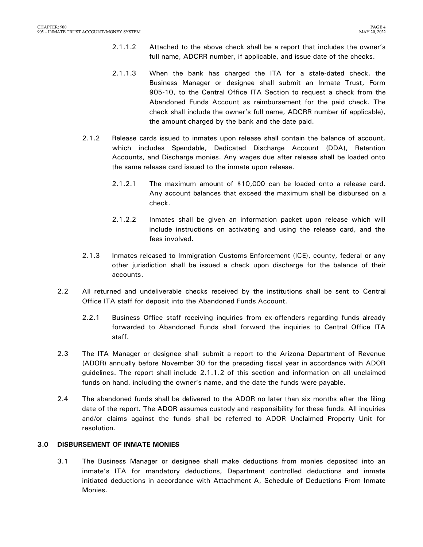- 2.1.1.2 Attached to the above check shall be a report that includes the owner's full name, ADCRR number, if applicable, and issue date of the checks.
- 2.1.1.3 When the bank has charged the ITA for a stale-dated check, the Business Manager or designee shall submit an Inmate Trust, Form 905-10, to the Central Office ITA Section to request a check from the Abandoned Funds Account as reimbursement for the paid check. The check shall include the owner's full name, ADCRR number (if applicable), the amount charged by the bank and the date paid.
- 2.1.2 Release cards issued to inmates upon release shall contain the balance of account, which includes Spendable, Dedicated Discharge Account (DDA), Retention Accounts, and Discharge monies. Any wages due after release shall be loaded onto the same release card issued to the inmate upon release.
	- 2.1.2.1 The maximum amount of \$10,000 can be loaded onto a release card. Any account balances that exceed the maximum shall be disbursed on a check.
	- 2.1.2.2 Inmates shall be given an information packet upon release which will include instructions on activating and using the release card, and the fees involved.
- 2.1.3 Inmates released to Immigration Customs Enforcement (ICE), county, federal or any other jurisdiction shall be issued a check upon discharge for the balance of their accounts.
- 2.2 All returned and undeliverable checks received by the institutions shall be sent to Central Office ITA staff for deposit into the Abandoned Funds Account.
	- 2.2.1 Business Office staff receiving inquiries from ex-offenders regarding funds already forwarded to Abandoned Funds shall forward the inquiries to Central Office ITA staff.
- 2.3 The ITA Manager or designee shall submit a report to the Arizona Department of Revenue (ADOR) annually before November 30 for the preceding fiscal year in accordance with ADOR guidelines. The report shall include 2.1.1.2 of this section and information on all unclaimed funds on hand, including the owner's name, and the date the funds were payable.
- 2.4 The abandoned funds shall be delivered to the ADOR no later than six months after the filing date of the report. The ADOR assumes custody and responsibility for these funds. All inquiries and/or claims against the funds shall be referred to ADOR Unclaimed Property Unit for resolution.

### <span id="page-5-0"></span>**3.0 DISBURSEMENT OF INMATE MONIES**

3.1 The Business Manager or designee shall make deductions from monies deposited into an inmate's ITA for mandatory deductions, Department controlled deductions and inmate initiated deductions in accordance with Attachment A, Schedule of Deductions From Inmate Monies.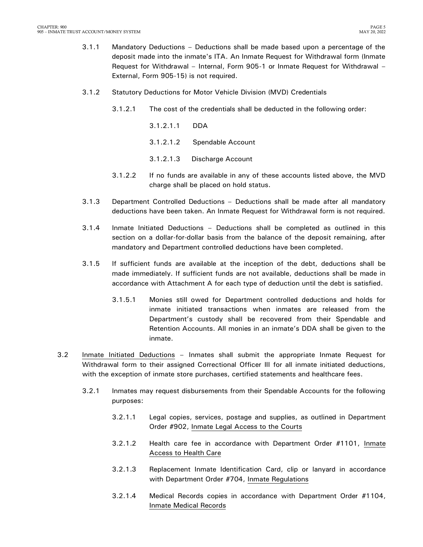- 3.1.1 Mandatory Deductions Deductions shall be made based upon a percentage of the deposit made into the inmate's ITA. An Inmate Request for Withdrawal form (Inmate Request for Withdrawal – Internal, Form 905-1 or Inmate Request for Withdrawal – External, Form 905-15) is not required.
- 3.1.2 Statutory Deductions for Motor Vehicle Division (MVD) Credentials
	- 3.1.2.1 The cost of the credentials shall be deducted in the following order:
		- 3.1.2.1.1 DDA
		- 3.1.2.1.2 Spendable Account
		- 3.1.2.1.3 Discharge Account
	- 3.1.2.2 If no funds are available in any of these accounts listed above, the MVD charge shall be placed on hold status.
- 3.1.3 Department Controlled Deductions Deductions shall be made after all mandatory deductions have been taken. An Inmate Request for Withdrawal form is not required.
- 3.1.4 Inmate Initiated Deductions Deductions shall be completed as outlined in this section on a dollar-for-dollar basis from the balance of the deposit remaining, after mandatory and Department controlled deductions have been completed.
- 3.1.5 If sufficient funds are available at the inception of the debt, deductions shall be made immediately. If sufficient funds are not available, deductions shall be made in accordance with Attachment A for each type of deduction until the debt is satisfied.
	- 3.1.5.1 Monies still owed for Department controlled deductions and holds for inmate initiated transactions when inmates are released from the Department's custody shall be recovered from their Spendable and Retention Accounts. All monies in an inmate's DDA shall be given to the inmate.
- 3.2 Inmate Initiated Deductions Inmates shall submit the appropriate Inmate Request for Withdrawal form to their assigned Correctional Officer III for all inmate initiated deductions, with the exception of inmate store purchases, certified statements and healthcare fees.
	- 3.2.1 Inmates may request disbursements from their Spendable Accounts for the following purposes:
		- 3.2.1.1 Legal copies, services, postage and supplies, as outlined in Department Order #902, Inmate Legal Access to the Courts
		- 3.2.1.2 Health care fee in accordance with Department Order #1101, Inmate Access to Health Care
		- 3.2.1.3 Replacement Inmate Identification Card, clip or lanyard in accordance with Department Order #704, Inmate Regulations
		- 3.2.1.4 Medical Records copies in accordance with Department Order #1104, Inmate Medical Records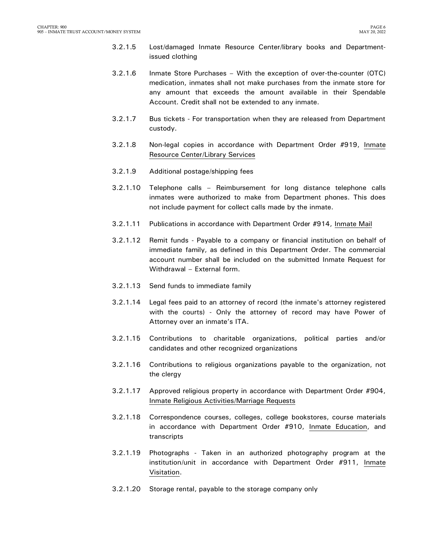- 3.2.1.5 Lost/damaged Inmate Resource Center/library books and Departmentissued clothing
- 3.2.1.6 Inmate Store Purchases With the exception of over-the-counter (OTC) medication, inmates shall not make purchases from the inmate store for any amount that exceeds the amount available in their Spendable Account. Credit shall not be extended to any inmate.
- 3.2.1.7 Bus tickets For transportation when they are released from Department custody.
- 3.2.1.8 Non-legal copies in accordance with Department Order #919, Inmate Resource Center/Library Services
- 3.2.1.9 Additional postage/shipping fees
- 3.2.1.10 Telephone calls Reimbursement for long distance telephone calls inmates were authorized to make from Department phones. This does not include payment for collect calls made by the inmate.
- 3.2.1.11 Publications in accordance with Department Order #914, Inmate Mail
- 3.2.1.12 Remit funds Payable to a company or financial institution on behalf of immediate family, as defined in this Department Order. The commercial account number shall be included on the submitted Inmate Request for Withdrawal – External form.
- 3.2.1.13 Send funds to immediate family
- 3.2.1.14 Legal fees paid to an attorney of record (the inmate's attorney registered with the courts) - Only the attorney of record may have Power of Attorney over an inmate's ITA.
- 3.2.1.15 Contributions to charitable organizations, political parties and/or candidates and other recognized organizations
- 3.2.1.16 Contributions to religious organizations payable to the organization, not the clergy
- 3.2.1.17 Approved religious property in accordance with Department Order #904, Inmate Religious Activities/Marriage Requests
- 3.2.1.18 Correspondence courses, colleges, college bookstores, course materials in accordance with Department Order #910, Inmate Education, and transcripts
- 3.2.1.19 Photographs Taken in an authorized photography program at the institution/unit in accordance with Department Order #911, Inmate Visitation.
- 3.2.1.20 Storage rental, payable to the storage company only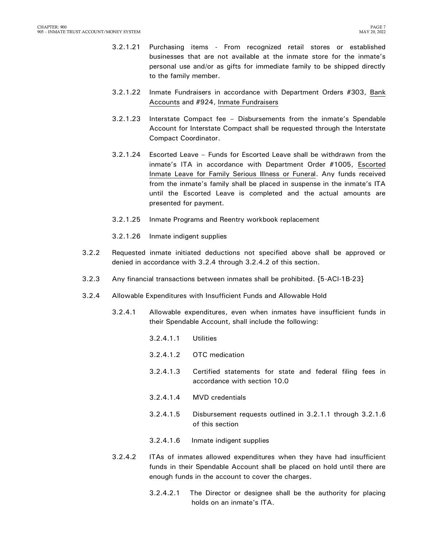- 3.2.1.21 Purchasing items From recognized retail stores or established businesses that are not available at the inmate store for the inmate's personal use and/or as gifts for immediate family to be shipped directly to the family member.
- 3.2.1.22 Inmate Fundraisers in accordance with Department Orders #303, Bank Accounts and #924, Inmate Fundraisers
- 3.2.1.23 Interstate Compact fee Disbursements from the inmate's Spendable Account for Interstate Compact shall be requested through the Interstate Compact Coordinator.
- 3.2.1.24 Escorted Leave Funds for Escorted Leave shall be withdrawn from the inmate's ITA in accordance with Department Order #1005, Escorted Inmate Leave for Family Serious Illness or Funeral. Any funds received from the inmate's family shall be placed in suspense in the inmate's ITA until the Escorted Leave is completed and the actual amounts are presented for payment.
- 3.2.1.25 Inmate Programs and Reentry workbook replacement
- 3.2.1.26 Inmate indigent supplies
- 3.2.2 Requested inmate initiated deductions not specified above shall be approved or denied in accordance with 3.2.4 through 3.2.4.2 of this section.
- 3.2.3 Any financial transactions between inmates shall be prohibited. {5-ACI-1B-23}
- 3.2.4 Allowable Expenditures with Insufficient Funds and Allowable Hold
	- 3.2.4.1 Allowable expenditures, even when inmates have insufficient funds in their Spendable Account, shall include the following:
		- 3.2.4.1.1 Utilities
		- 3.2.4.1.2 OTC medication
		- 3.2.4.1.3 Certified statements for state and federal filing fees in accordance with section 10.0
		- 3.2.4.1.4 MVD credentials
		- 3.2.4.1.5 Disbursement requests outlined in 3.2.1.1 through 3.2.1.6 of this section
		- 3.2.4.1.6 Inmate indigent supplies
	- 3.2.4.2 ITAs of inmates allowed expenditures when they have had insufficient funds in their Spendable Account shall be placed on hold until there are enough funds in the account to cover the charges.
		- 3.2.4.2.1 The Director or designee shall be the authority for placing holds on an inmate's ITA.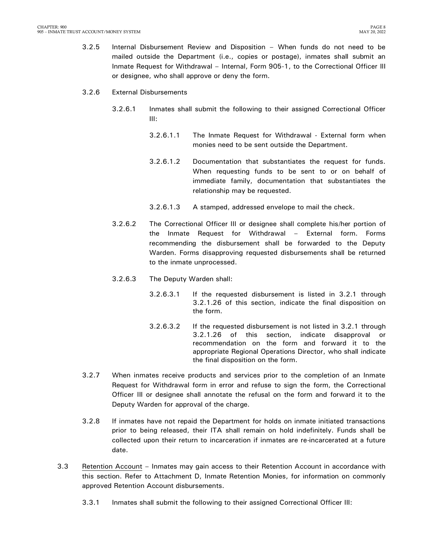- 3.2.5 Internal Disbursement Review and Disposition When funds do not need to be mailed outside the Department (i.e., copies or postage), inmates shall submit an Inmate Request for Withdrawal – Internal, Form 905-1, to the Correctional Officer III or designee, who shall approve or deny the form.
- 3.2.6 External Disbursements
	- 3.2.6.1 Inmates shall submit the following to their assigned Correctional Officer III:
		- 3.2.6.1.1 The Inmate Request for Withdrawal External form when monies need to be sent outside the Department.
		- 3.2.6.1.2 Documentation that substantiates the request for funds. When requesting funds to be sent to or on behalf of immediate family, documentation that substantiates the relationship may be requested.
		- 3.2.6.1.3 A stamped, addressed envelope to mail the check.
	- 3.2.6.2 The Correctional Officer III or designee shall complete his/her portion of the Inmate Request for Withdrawal – External form. Forms recommending the disbursement shall be forwarded to the Deputy Warden. Forms disapproving requested disbursements shall be returned to the inmate unprocessed.
	- 3.2.6.3 The Deputy Warden shall:
		- 3.2.6.3.1 If the requested disbursement is listed in 3.2.1 through 3.2.1.26 of this section, indicate the final disposition on the form.
		- 3.2.6.3.2 If the requested disbursement is not listed in 3.2.1 through 3.2.1.26 of this section, indicate disapproval or recommendation on the form and forward it to the appropriate Regional Operations Director, who shall indicate the final disposition on the form.
- 3.2.7 When inmates receive products and services prior to the completion of an Inmate Request for Withdrawal form in error and refuse to sign the form, the Correctional Officer III or designee shall annotate the refusal on the form and forward it to the Deputy Warden for approval of the charge.
- 3.2.8 If inmates have not repaid the Department for holds on inmate initiated transactions prior to being released, their ITA shall remain on hold indefinitely. Funds shall be collected upon their return to incarceration if inmates are re-incarcerated at a future date.
- 3.3 Retention Account Inmates may gain access to their Retention Account in accordance with this section. Refer to Attachment D, Inmate Retention Monies, for information on commonly approved Retention Account disbursements.
	- 3.3.1 Inmates shall submit the following to their assigned Correctional Officer III: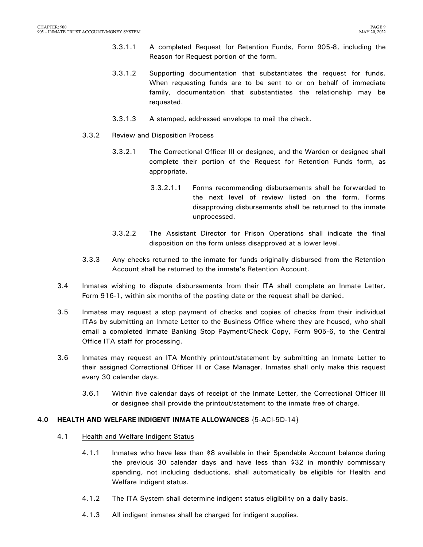- 3.3.1.1 A completed Request for Retention Funds, Form 905-8, including the Reason for Request portion of the form.
- 3.3.1.2 Supporting documentation that substantiates the request for funds. When requesting funds are to be sent to or on behalf of immediate family, documentation that substantiates the relationship may be requested.
- 3.3.1.3 A stamped, addressed envelope to mail the check.
- 3.3.2 Review and Disposition Process
	- 3.3.2.1 The Correctional Officer III or designee, and the Warden or designee shall complete their portion of the Request for Retention Funds form, as appropriate.
		- 3.3.2.1.1 Forms recommending disbursements shall be forwarded to the next level of review listed on the form. Forms disapproving disbursements shall be returned to the inmate unprocessed.
	- 3.3.2.2 The Assistant Director for Prison Operations shall indicate the final disposition on the form unless disapproved at a lower level.
- 3.3.3 Any checks returned to the inmate for funds originally disbursed from the Retention Account shall be returned to the inmate's Retention Account.
- 3.4 Inmates wishing to dispute disbursements from their ITA shall complete an Inmate Letter, Form 916-1, within six months of the posting date or the request shall be denied.
- 3.5 Inmates may request a stop payment of checks and copies of checks from their individual ITAs by submitting an Inmate Letter to the Business Office where they are housed, who shall email a completed Inmate Banking Stop Payment/Check Copy, Form 905-6, to the Central Office ITA staff for processing.
- 3.6 Inmates may request an ITA Monthly printout/statement by submitting an Inmate Letter to their assigned Correctional Officer III or Case Manager. Inmates shall only make this request every 30 calendar days.
	- 3.6.1 Within five calendar days of receipt of the Inmate Letter, the Correctional Officer III or designee shall provide the printout/statement to the inmate free of charge.

### <span id="page-10-0"></span>**4.0 HEALTH AND WELFARE INDIGENT INMATE ALLOWANCES** {5-ACI-5D-14}

#### 4.1 Health and Welfare Indigent Status

- 4.1.1 Inmates who have less than \$8 available in their Spendable Account balance during the previous 30 calendar days and have less than \$32 in monthly commissary spending, not including deductions, shall automatically be eligible for Health and Welfare Indigent status.
- 4.1.2 The ITA System shall determine indigent status eligibility on a daily basis.
- 4.1.3 All indigent inmates shall be charged for indigent supplies.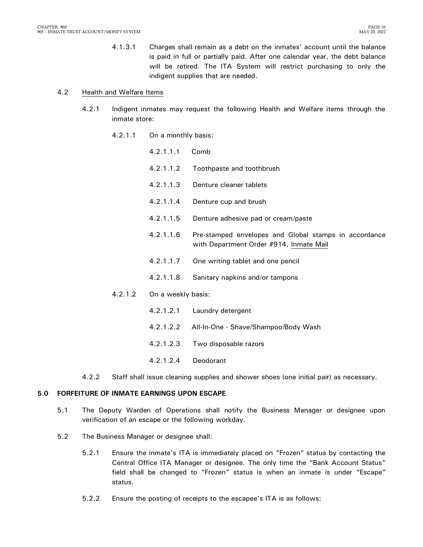4.1.3.1 Charges shall remain as a debt on the inmates' account until the balance is paid in full or partially paid. After one calendar year, the debt balance will be retired. The ITA System will restrict purchasing to only the indigent supplies that are needed.

#### 4.2 Health and Welfare Items

- 4.2.1 Indigent inmates may request the following Health and Welfare items through the inmate store:
	- 4.2.1.1 On a monthly basis:
		- 4.2.1.1.1 Comb
		- 4.2.1.1.2 Toothpaste and toothbrush
		- 4.2.1.1.3 Denture cleaner tablets
		- 4.2.1.1.4 Denture cup and brush
		- 4.2.1.1.5 Denture adhesive pad or cream/paste
		- 4.2.1.1.6 Pre-stamped envelopes and Global stamps in accordance with Department Order #914, Inmate Mail
		- 4.2.1.1.7 One writing tablet and one pencil
		- 4.2.1.1.8 Sanitary napkins and/or tampons
	- 4.2.1.2 On a weekly basis:
		- 4.2.1.2.1 Laundry detergent
		- 4.2.1.2.2 All-In-One Shave/Shampoo/Body Wash
		- 4.2.1.2.3 Two disposable razors
		- 4.2.1.2.4 Deodorant
- 4.2.2 Staff shall issue cleaning supplies and shower shoes (one initial pair) as necessary.

#### <span id="page-11-0"></span>**5.0 FORFEITURE OF INMATE EARNINGS UPON ESCAPE**

- 5.1 The Deputy Warden of Operations shall notify the Business Manager or designee upon verification of an escape or the following workday.
- 5.2 The Business Manager or designee shall:
	- 5.2.1 Ensure the inmate's ITA is immediately placed on "Frozen" status by contacting the Central Office ITA Manager or designee. The only time the "Bank Account Status" field shall be changed to "Frozen" status is when an inmate is under "Escape" status.
	- 5.2.2 Ensure the posting of receipts to the escapee's ITA is as follows: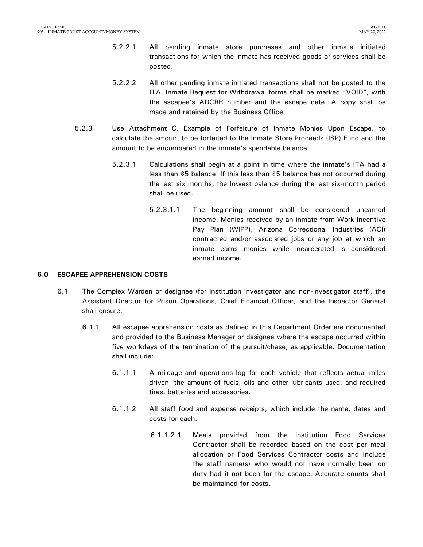- 5.2.2.1 All pending inmate store purchases and other inmate initiated transactions for which the inmate has received goods or services shall be posted.
- 5.2.2.2 All other pending inmate initiated transactions shall not be posted to the ITA. Inmate Request for Withdrawal forms shall be marked "VOID", with the escapee's ADCRR number and the escape date. A copy shall be made and retained by the Business Office.
- 5.2.3 Use Attachment C, Example of Forfeiture of Inmate Monies Upon Escape, to calculate the amount to be forfeited to the Inmate Store Proceeds (ISP) Fund and the amount to be encumbered in the inmate's spendable balance.
	- 5.2.3.1 Calculations shall begin at a point in time where the inmate's ITA had a less than \$5 balance. If this less than \$5 balance has not occurred during the last six months, the lowest balance during the last six-month period shall be used.
		- 5.2.3.1.1 The beginning amount shall be considered unearned income. Monies received by an inmate from Work Incentive Pay Plan (WIPP), Arizona Correctional Industries (ACI) contracted and/or associated jobs or any job at which an inmate earns monies while incarcerated is considered earned income.

### <span id="page-12-0"></span>**6.0 ESCAPEE APPREHENSION COSTS**

- 6.1 The Complex Warden or designee (for institution investigator and non-investigator staff), the Assistant Director for Prison Operations, Chief Financial Officer, and the Inspector General shall ensure:
	- 6.1.1 All escapee apprehension costs as defined in this Department Order are documented and provided to the Business Manager or designee where the escape occurred within five workdays of the termination of the pursuit/chase, as applicable. Documentation shall include:
		- 6.1.1.1 A mileage and operations log for each vehicle that reflects actual miles driven, the amount of fuels, oils and other lubricants used, and required tires, batteries and accessories.
		- 6.1.1.2 All staff food and expense receipts, which include the name, dates and costs for each.
			- 6.1.1.2.1 Meals provided from the institution Food Services Contractor shall be recorded based on the cost per meal allocation or Food Services Contractor costs and include the staff name(s) who would not have normally been on duty had it not been for the escape. Accurate counts shall be maintained for costs.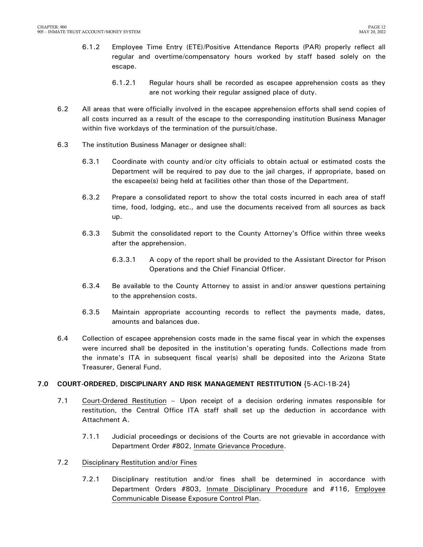- 6.1.2 Employee Time Entry (ETE)/Positive Attendance Reports (PAR) properly reflect all regular and overtime/compensatory hours worked by staff based solely on the escape.
	- 6.1.2.1 Regular hours shall be recorded as escapee apprehension costs as they are not working their regular assigned place of duty.
- 6.2 All areas that were officially involved in the escapee apprehension efforts shall send copies of all costs incurred as a result of the escape to the corresponding institution Business Manager within five workdays of the termination of the pursuit/chase.
- 6.3 The institution Business Manager or designee shall:
	- 6.3.1 Coordinate with county and/or city officials to obtain actual or estimated costs the Department will be required to pay due to the jail charges, if appropriate, based on the escapee(s) being held at facilities other than those of the Department.
	- 6.3.2 Prepare a consolidated report to show the total costs incurred in each area of staff time, food, lodging, etc., and use the documents received from all sources as back up.
	- 6.3.3 Submit the consolidated report to the County Attorney's Office within three weeks after the apprehension.
		- 6.3.3.1 A copy of the report shall be provided to the Assistant Director for Prison Operations and the Chief Financial Officer.
	- 6.3.4 Be available to the County Attorney to assist in and/or answer questions pertaining to the apprehension costs.
	- 6.3.5 Maintain appropriate accounting records to reflect the payments made, dates, amounts and balances due.
- 6.4 Collection of escapee apprehension costs made in the same fiscal year in which the expenses were incurred shall be deposited in the institution's operating funds. Collections made from the inmate's ITA in subsequent fiscal year(s) shall be deposited into the Arizona State Treasurer, General Fund.

### <span id="page-13-0"></span>**7.0 COURT-ORDERED, DISCIPLINARY AND RISK MANAGEMENT RESTITUTION** {5-ACI-1B-24}

- 7.1 Court-Ordered Restitution Upon receipt of a decision ordering inmates responsible for restitution, the Central Office ITA staff shall set up the deduction in accordance with Attachment A.
	- 7.1.1 Judicial proceedings or decisions of the Courts are not grievable in accordance with Department Order #802, Inmate Grievance Procedure.
- 7.2 Disciplinary Restitution and/or Fines
	- 7.2.1 Disciplinary restitution and/or fines shall be determined in accordance with Department Orders #803, Inmate Disciplinary Procedure and #116, Employee Communicable Disease Exposure Control Plan.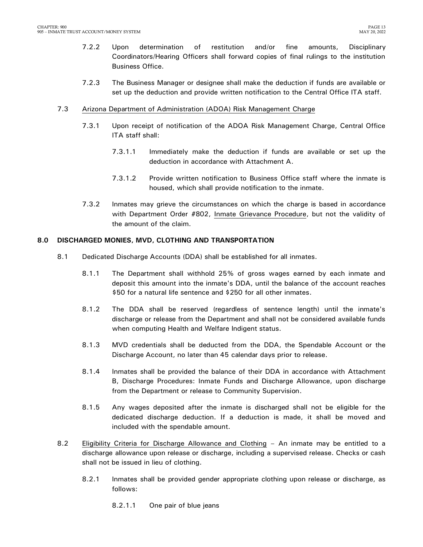- 7.2.2 Upon determination of restitution and/or fine amounts, Disciplinary Coordinators/Hearing Officers shall forward copies of final rulings to the institution Business Office.
- 7.2.3 The Business Manager or designee shall make the deduction if funds are available or set up the deduction and provide written notification to the Central Office ITA staff.

### 7.3 Arizona Department of Administration (ADOA) Risk Management Charge

- 7.3.1 Upon receipt of notification of the ADOA Risk Management Charge, Central Office ITA staff shall:
	- 7.3.1.1 Immediately make the deduction if funds are available or set up the deduction in accordance with Attachment A.
	- 7.3.1.2 Provide written notification to Business Office staff where the inmate is housed, which shall provide notification to the inmate.
- 7.3.2 Inmates may grieve the circumstances on which the charge is based in accordance with Department Order #802, Inmate Grievance Procedure, but not the validity of the amount of the claim.

### <span id="page-14-0"></span>**8.0 DISCHARGED MONIES, MVD, CLOTHING AND TRANSPORTATION**

- 8.1 Dedicated Discharge Accounts (DDA) shall be established for all inmates.
	- 8.1.1 The Department shall withhold 25% of gross wages earned by each inmate and deposit this amount into the inmate's DDA, until the balance of the account reaches \$50 for a natural life sentence and \$250 for all other inmates.
	- 8.1.2 The DDA shall be reserved (regardless of sentence length) until the inmate's discharge or release from the Department and shall not be considered available funds when computing Health and Welfare Indigent status.
	- 8.1.3 MVD credentials shall be deducted from the DDA, the Spendable Account or the Discharge Account, no later than 45 calendar days prior to release.
	- 8.1.4 Inmates shall be provided the balance of their DDA in accordance with Attachment B, Discharge Procedures: Inmate Funds and Discharge Allowance, upon discharge from the Department or release to Community Supervision.
	- 8.1.5 Any wages deposited after the inmate is discharged shall not be eligible for the dedicated discharge deduction. If a deduction is made, it shall be moved and included with the spendable amount.
- 8.2 Eligibility Criteria for Discharge Allowance and Clothing An inmate may be entitled to a discharge allowance upon release or discharge, including a supervised release. Checks or cash shall not be issued in lieu of clothing.
	- 8.2.1 Inmates shall be provided gender appropriate clothing upon release or discharge, as follows:

8.2.1.1 One pair of blue jeans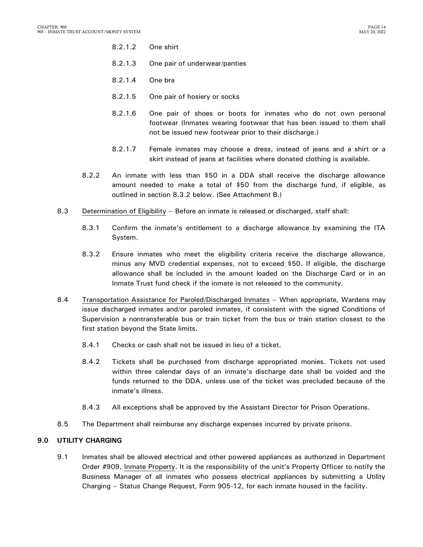- 8.2.1.2 One shirt
- 8.2.1.3 One pair of underwear/panties
- 8.2.1.4 One bra
- 8.2.1.5 One pair of hosiery or socks
- 8.2.1.6 One pair of shoes or boots for inmates who do not own personal footwear (Inmates wearing footwear that has been issued to them shall not be issued new footwear prior to their discharge.)
- 8.2.1.7 Female inmates may choose a dress, instead of jeans and a shirt or a skirt instead of jeans at facilities where donated clothing is available.
- 8.2.2 An inmate with less than \$50 in a DDA shall receive the discharge allowance amount needed to make a total of \$50 from the discharge fund, if eligible, as outlined in section 8.3.2 below. (See Attachment B.)
- 8.3 Determination of Eligibility Before an inmate is released or discharged, staff shall:
	- 8.3.1 Confirm the inmate's entitlement to a discharge allowance by examining the ITA System.
	- 8.3.2 Ensure inmates who meet the eligibility criteria receive the discharge allowance, minus any MVD credential expenses, not to exceed \$50. If eligible, the discharge allowance shall be included in the amount loaded on the Discharge Card or in an Inmate Trust fund check if the inmate is not released to the community.
- 8.4 Transportation Assistance for Paroled/Discharged Inmates When appropriate, Wardens may issue discharged inmates and/or paroled inmates, if consistent with the signed Conditions of Supervision a nontransferable bus or train ticket from the bus or train station closest to the first station beyond the State limits.
	- 8.4.1 Checks or cash shall not be issued in lieu of a ticket.
	- 8.4.2 Tickets shall be purchased from discharge appropriated monies. Tickets not used within three calendar days of an inmate's discharge date shall be voided and the funds returned to the DDA, unless use of the ticket was precluded because of the inmate's illness.
	- 8.4.3 All exceptions shall be approved by the Assistant Director for Prison Operations.
- 8.5 The Department shall reimburse any discharge expenses incurred by private prisons.

### <span id="page-15-0"></span>**9.0 UTILITY CHARGING**

9.1 Inmates shall be allowed electrical and other powered appliances as authorized in Department Order #909, Inmate Property. It is the responsibility of the unit's Property Officer to notify the Business Manager of all inmates who possess electrical appliances by submitting a Utility Charging – Status Change Request, Form 905-12, for each inmate housed in the facility.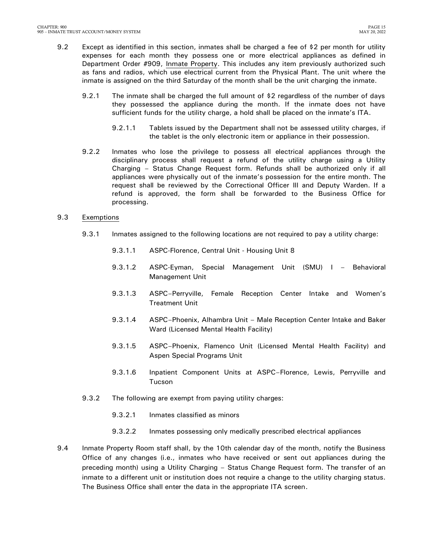- 9.2 Except as identified in this section, inmates shall be charged a fee of \$2 per month for utility expenses for each month they possess one or more electrical appliances as defined in Department Order #909, Inmate Property. This includes any item previously authorized such as fans and radios, which use electrical current from the Physical Plant. The unit where the inmate is assigned on the third Saturday of the month shall be the unit charging the inmate.
	- 9.2.1 The inmate shall be charged the full amount of \$2 regardless of the number of days they possessed the appliance during the month. If the inmate does not have sufficient funds for the utility charge, a hold shall be placed on the inmate's ITA.
		- 9.2.1.1 Tablets issued by the Department shall not be assessed utility charges, if the tablet is the only electronic item or appliance in their possession.
	- 9.2.2 Inmates who lose the privilege to possess all electrical appliances through the disciplinary process shall request a refund of the utility charge using a Utility Charging – Status Change Request form. Refunds shall be authorized only if all appliances were physically out of the inmate's possession for the entire month. The request shall be reviewed by the Correctional Officer III and Deputy Warden. If a refund is approved, the form shall be forwarded to the Business Office for processing.

### 9.3 Exemptions

- 9.3.1 Inmates assigned to the following locations are not required to pay a utility charge:
	- 9.3.1.1 ASPC-Florence, Central Unit Housing Unit 8
	- 9.3.1.2 ASPC-Eyman, Special Management Unit (SMU) I Behavioral Management Unit
	- 9.3.1.3 ASPC–Perryville, Female Reception Center Intake and Women's Treatment Unit
	- 9.3.1.4 ASPC–Phoenix, Alhambra Unit Male Reception Center Intake and Baker Ward (Licensed Mental Health Facility)
	- 9.3.1.5 ASPC–Phoenix, Flamenco Unit (Licensed Mental Health Facility) and Aspen Special Programs Unit
	- 9.3.1.6 Inpatient Component Units at ASPC–Florence, Lewis, Perryville and Tucson
- 9.3.2 The following are exempt from paying utility charges:
	- 9.3.2.1 Inmates classified as minors
	- 9.3.2.2 Inmates possessing only medically prescribed electrical appliances
- 9.4 Inmate Property Room staff shall, by the 10th calendar day of the month, notify the Business Office of any changes (i.e., inmates who have received or sent out appliances during the preceding month) using a Utility Charging – Status Change Request form. The transfer of an inmate to a different unit or institution does not require a change to the utility charging status. The Business Office shall enter the data in the appropriate ITA screen.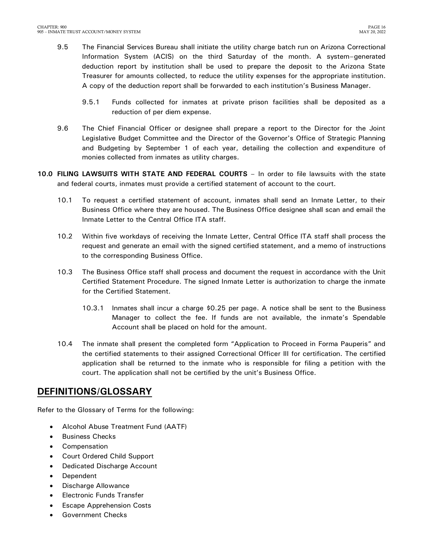- 9.5 The Financial Services Bureau shall initiate the utility charge batch run on Arizona Correctional Information System (ACIS) on the third Saturday of the month. A system–generated deduction report by institution shall be used to prepare the deposit to the Arizona State Treasurer for amounts collected, to reduce the utility expenses for the appropriate institution. A copy of the deduction report shall be forwarded to each institution's Business Manager.
	- 9.5.1 Funds collected for inmates at private prison facilities shall be deposited as a reduction of per diem expense.
- 9.6 The Chief Financial Officer or designee shall prepare a report to the Director for the Joint Legislative Budget Committee and the Director of the Governor's Office of Strategic Planning and Budgeting by September 1 of each year, detailing the collection and expenditure of monies collected from inmates as utility charges.
- <span id="page-17-0"></span>**10.0 FILING LAWSUITS WITH STATE AND FEDERAL COURTS** – In order to file lawsuits with the state and federal courts, inmates must provide a certified statement of account to the court.
	- 10.1 To request a certified statement of account, inmates shall send an Inmate Letter, to their Business Office where they are housed. The Business Office designee shall scan and email the Inmate Letter to the Central Office ITA staff.
	- 10.2 Within five workdays of receiving the Inmate Letter, Central Office ITA staff shall process the request and generate an email with the signed certified statement, and a memo of instructions to the corresponding Business Office.
	- 10.3 The Business Office staff shall process and document the request in accordance with the Unit Certified Statement Procedure. The signed Inmate Letter is authorization to charge the inmate for the Certified Statement.
		- 10.3.1 Inmates shall incur a charge \$0.25 per page. A notice shall be sent to the Business Manager to collect the fee. If funds are not available, the inmate's Spendable Account shall be placed on hold for the amount.
	- 10.4 The inmate shall present the completed form "Application to Proceed in Forma Pauperis" and the certified statements to their assigned Correctional Officer III for certification. The certified application shall be returned to the inmate who is responsible for filing a petition with the court. The application shall not be certified by the unit's Business Office.

## <span id="page-17-1"></span>**DEFINITIONS/GLOSSARY**

Refer to the Glossary of Terms for the following:

- Alcohol Abuse Treatment Fund (AATF)
- Business Checks
- Compensation
- Court Ordered Child Support
- Dedicated Discharge Account
- Dependent
- Discharge Allowance
- Electronic Funds Transfer
- Escape Apprehension Costs
- **•** Government Checks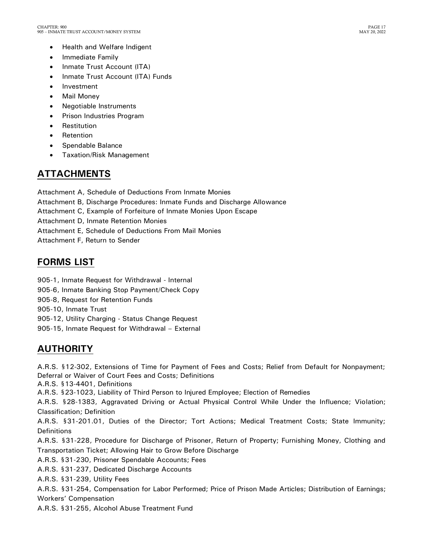- Health and Welfare Indigent
- Immediate Family
- Inmate Trust Account (ITA)
- Inmate Trust Account (ITA) Funds
- Investment
- Mail Money
- Negotiable Instruments
- Prison Industries Program
- Restitution
- Retention
- Spendable Balance
- Taxation/Risk Management

## <span id="page-18-0"></span>**ATTACHMENTS**

Attachment A, Schedule of Deductions From Inmate Monies

- Attachment B, Discharge Procedures: Inmate Funds and Discharge Allowance
- Attachment C, Example of Forfeiture of Inmate Monies Upon Escape

Attachment D, Inmate Retention Monies

Attachment E, Schedule of Deductions From Mail Monies

Attachment F, Return to Sender

## <span id="page-18-1"></span>**FORMS LIST**

905-1, Inmate Request for Withdrawal - Internal 905-6, Inmate Banking Stop Payment/Check Copy 905-8, Request for Retention Funds 905-10, Inmate Trust 905-12, Utility Charging - Status Change Request

905-15, Inmate Request for Withdrawal – External

## <span id="page-18-2"></span>**AUTHORITY**

A.R.S. §12-302, Extensions of Time for Payment of Fees and Costs; Relief from Default for Nonpayment; Deferral or Waiver of Court Fees and Costs; Definitions

A.R.S. §13-4401, Definitions

A.R.S. §23-1023, Liability of Third Person to Injured Employee; Election of Remedies

A.R.S. §28-1383, Aggravated Driving or Actual Physical Control While Under the Influence; Violation; Classification; Definition

A.R.S. §31-201.01, Duties of the Director; Tort Actions; Medical Treatment Costs; State Immunity; **Definitions** 

A.R.S. §31-228, Procedure for Discharge of Prisoner, Return of Property; Furnishing Money, Clothing and Transportation Ticket; Allowing Hair to Grow Before Discharge

A.R.S. §31-230, Prisoner Spendable Accounts; Fees

A.R.S. §31-237, Dedicated Discharge Accounts

A.R.S. §31-239, Utility Fees

A.R.S. §31-254, Compensation for Labor Performed; Price of Prison Made Articles; Distribution of Earnings; Workers' Compensation

A.R.S. §31-255, Alcohol Abuse Treatment Fund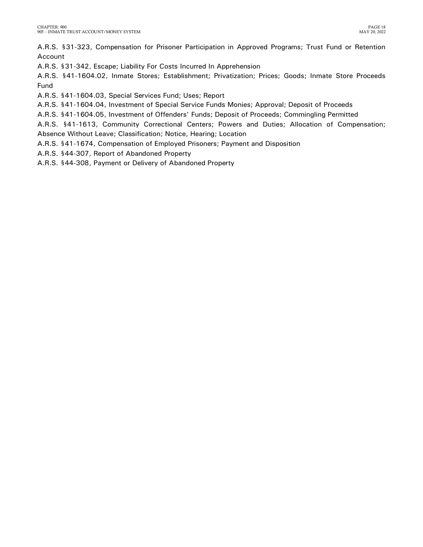A.R.S. §31-323, Compensation for Prisoner Participation in Approved Programs; Trust Fund or Retention Account

A.R.S. §31-342, Escape; Liability For Costs Incurred In Apprehension

A.R.S. §41-1604.02, Inmate Stores; Establishment; Privatization; Prices; Goods; Inmate Store Proceeds Fund

A.R.S. §41-1604.03, Special Services Fund; Uses; Report

A.R.S. §41-1604.04, Investment of Special Service Funds Monies; Approval; Deposit of Proceeds

A.R.S. §41-1604.05, Investment of Offenders' Funds; Deposit of Proceeds; Commingling Permitted

A.R.S. §41-1613, Community Correctional Centers; Powers and Duties; Allocation of Compensation; Absence Without Leave; Classification; Notice, Hearing; Location

A.R.S. §41-1674, Compensation of Employed Prisoners; Payment and Disposition

A.R.S. §44-307, Report of Abandoned Property

A.R.S. §44-308, Payment or Delivery of Abandoned Property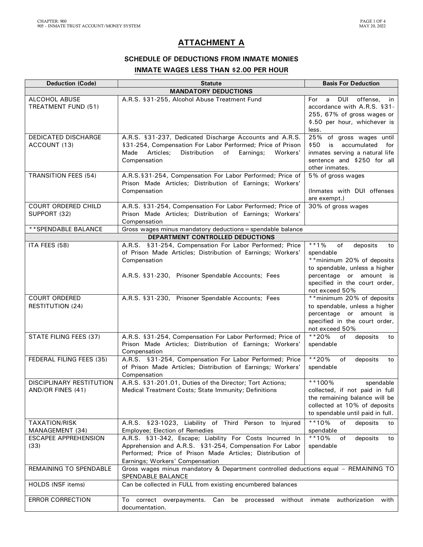### **ATTACHMENT A**

### **SCHEDULE OF DEDUCTIONS FROM INMATE MONIES INMATE WAGES LESS THAN \$2.00 PER HOUR**

| <b>Deduction (Code)</b>                              | <b>Statute</b>                                                                                                                                                                                                     | <b>Basis For Deduction</b>                                                                                                                                                                  |  |
|------------------------------------------------------|--------------------------------------------------------------------------------------------------------------------------------------------------------------------------------------------------------------------|---------------------------------------------------------------------------------------------------------------------------------------------------------------------------------------------|--|
|                                                      | <b>MANDATORY DEDUCTIONS</b>                                                                                                                                                                                        |                                                                                                                                                                                             |  |
| ALCOHOL ABUSE<br>TREATMENT FUND (51)                 | A.R.S. §31-255, Alcohol Abuse Treatment Fund                                                                                                                                                                       | DUI<br>offense,<br>For<br>a<br>in<br>accordance with A.R.S. §31-<br>255, 67% of gross wages or<br>\$.50 per hour, whichever is<br>less.                                                     |  |
| <b>DEDICATED DISCHARGE</b><br>ACCOUNT (13)           | A.R.S. §31-237, Dedicated Discharge Accounts and A.R.S.<br>§31-254, Compensation For Labor Performed; Price of Prison<br>Articles;<br>Distribution<br>of<br>Workers'<br>Made<br>Earnings;<br>Compensation          | 25% of gross wages until<br>\$50<br>is<br>accumulated<br>for<br>inmates serving a natural life<br>sentence and \$250 for all<br>other inmates.                                              |  |
| <b>TRANSITION FEES (54)</b>                          | A.R.S.§31-254, Compensation For Labor Performed; Price of<br>Prison Made Articles; Distribution of Earnings; Workers'<br>Compensation                                                                              | 5% of gross wages<br>(Inmates with DUI offenses<br>are exempt.)                                                                                                                             |  |
| COURT ORDERED CHILD<br>SUPPORT (32)                  | A.R.S. §31-254, Compensation For Labor Performed; Price of<br>Prison Made Articles; Distribution of Earnings; Workers'<br>Compensation                                                                             | 30% of gross wages                                                                                                                                                                          |  |
| ** SPENDABLE BALANCE                                 | Gross wages minus mandatory deductions = spendable balance                                                                                                                                                         |                                                                                                                                                                                             |  |
|                                                      | DEPARTMENT CONTROLLED DEDUCTIONS                                                                                                                                                                                   |                                                                                                                                                                                             |  |
| ITA FEES (58)                                        | A.R.S. §31-254, Compensation For Labor Performed; Price<br>of Prison Made Articles; Distribution of Earnings; Workers'<br>Compensation<br>A.R.S. §31-230, Prisoner Spendable Accounts; Fees                        | $* * 1\%$<br>of<br>deposits<br>to<br>spendable<br>** minimum 20% of deposits<br>to spendable, unless a higher<br>percentage or amount is<br>specified in the court order,<br>not exceed 50% |  |
| <b>COURT ORDERED</b><br><b>RESTITUTION (24)</b>      | A.R.S. §31-230, Prisoner Spendable Accounts; Fees                                                                                                                                                                  | ** minimum 20% of deposits<br>to spendable, unless a higher<br>percentage or amount is<br>specified in the court order,<br>not exceed 50%                                                   |  |
| STATE FILING FEES (37)                               | A.R.S. §31-254, Compensation For Labor Performed; Price of<br>Prison Made Articles; Distribution of Earnings; Workers'<br>Compensation                                                                             | **20%<br>of<br>deposits<br>to<br>spendable                                                                                                                                                  |  |
| FEDERAL FILING FEES (35)                             | A.R.S. §31-254, Compensation For Labor Performed; Price<br>of Prison Made Articles; Distribution of Earnings; Workers'<br>Compensation                                                                             | $**20%$<br>of<br>deposits<br>to<br>spendable                                                                                                                                                |  |
| <b>DISCIPLINARY RESTITUTION</b><br>AND/OR FINES (41) | A.R.S. §31-201.01, Duties of the Director; Tort Actions;<br>Medical Treatment Costs; State Immunity; Definitions                                                                                                   | **100%<br>spendable<br>collected, if not paid in full<br>the remaining balance will be<br>collected at 10% of deposits<br>to spendable until paid in full.                                  |  |
| <b>TAXATION/RISK</b><br>MANAGEMENT (34)              | A.R.S. §23-1023, Liability of Third Person to Injured<br><b>Employee; Election of Remedies</b>                                                                                                                     | **10%<br>of<br>deposits<br>to<br>spendable                                                                                                                                                  |  |
| <b>ESCAPEE APPREHENSION</b><br>(33)                  | A.R.S. §31-342, Escape; Liability For Costs Incurred In<br>Apprehension and A.R.S. §31-254, Compensation For Labor<br>Performed; Price of Prison Made Articles; Distribution of<br>Earnings; Workers' Compensation | $**10%$<br>of<br>deposits<br>to<br>spendable                                                                                                                                                |  |
| <b>REMAINING TO SPENDABLE</b>                        | Gross wages minus mandatory & Department controlled deductions equal - REMAINING TO<br>SPENDABLE BALANCE                                                                                                           |                                                                                                                                                                                             |  |
| HOLDS (NSF items)                                    | Can be collected in FULL from existing encumbered balances                                                                                                                                                         |                                                                                                                                                                                             |  |
| <b>ERROR CORRECTION</b>                              | Can be<br>To correct overpayments.<br>processed without inmate<br>documentation.                                                                                                                                   | authorization<br>with                                                                                                                                                                       |  |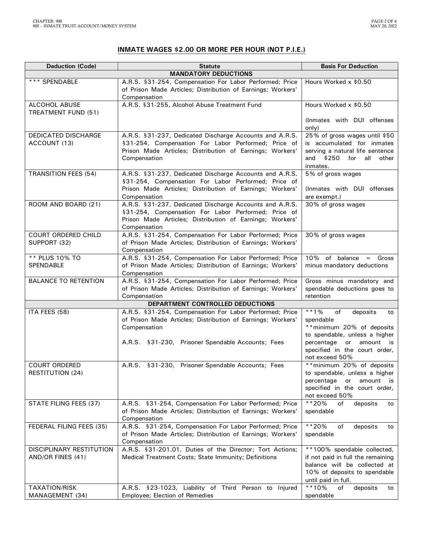### **INMATE WAGES \$2.00 OR MORE PER HOUR (NOT P.I.E.)**

| <b>Deduction (Code)</b>                    | <b>Statute</b>                                                                                                                                                  | <b>Basis For Deduction</b>                                               |  |
|--------------------------------------------|-----------------------------------------------------------------------------------------------------------------------------------------------------------------|--------------------------------------------------------------------------|--|
|                                            | <b>MANDATORY DEDUCTIONS</b>                                                                                                                                     |                                                                          |  |
| *** SPENDABLE                              | A.R.S. §31-254, Compensation For Labor Performed; Price<br>Hours Worked x \$0.50<br>of Prison Made Articles; Distribution of Earnings; Workers'<br>Compensation |                                                                          |  |
| ALCOHOL ABUSE                              | A.R.S. §31-255, Alcohol Abuse Treatment Fund                                                                                                                    | Hours Worked x \$0.50                                                    |  |
| TREATMENT FUND (51)                        |                                                                                                                                                                 |                                                                          |  |
|                                            |                                                                                                                                                                 | (Inmates with DUI offenses<br>only)                                      |  |
| <b>DEDICATED DISCHARGE</b><br>ACCOUNT (13) | A.R.S. §31-237, Dedicated Discharge Accounts and A.R.S.<br>§31-254, Compensation For Labor Performed; Price of                                                  | 25% of gross wages until \$50<br>is accumulated for inmates              |  |
|                                            | Prison Made Articles; Distribution of Earnings; Workers'                                                                                                        | serving a natural life sentence                                          |  |
|                                            | Compensation                                                                                                                                                    | and $$250$<br>for all other<br>inmates.                                  |  |
| <b>TRANSITION FEES (54)</b>                | A.R.S. §31-237, Dedicated Discharge Accounts and A.R.S.                                                                                                         | 5% of gross wages                                                        |  |
|                                            | §31-254, Compensation For Labor Performed; Price of<br>Prison Made Articles; Distribution of Earnings; Workers'                                                 | (Inmates with DUI offenses                                               |  |
|                                            | Compensation                                                                                                                                                    | are exempt.)                                                             |  |
| ROOM AND BOARD (21)                        | A.R.S. §31-237, Dedicated Discharge Accounts and A.R.S.                                                                                                         | 30% of gross wages                                                       |  |
|                                            | §31-254, Compensation For Labor Performed; Price of<br>Prison Made Articles; Distribution of Earnings; Workers'                                                 |                                                                          |  |
|                                            | Compensation                                                                                                                                                    |                                                                          |  |
| COURT ORDERED CHILD                        | A.R.S. §31-254, Compensation For Labor Performed; Price                                                                                                         | 30% of gross wages                                                       |  |
| SUPPORT (32)                               | of Prison Made Articles; Distribution of Earnings; Workers'                                                                                                     |                                                                          |  |
| ** PLUS 10% TO                             | Compensation<br>A.R.S. §31-254, Compensation For Labor Performed; Price                                                                                         | of balance $=$ Gross<br>10%                                              |  |
| SPENDABLE                                  | of Prison Made Articles; Distribution of Earnings; Workers'                                                                                                     | minus mandatory deductions                                               |  |
|                                            | Compensation                                                                                                                                                    |                                                                          |  |
| <b>BALANCE TO RETENTION</b>                | A.R.S. §31-254, Compensation For Labor Performed; Price<br>of Prison Made Articles; Distribution of Earnings; Workers'                                          | Gross minus mandatory and<br>spendable deductions goes to                |  |
|                                            | Compensation                                                                                                                                                    | retention                                                                |  |
|                                            | DEPARTMENT CONTROLLED DEDUCTIONS                                                                                                                                |                                                                          |  |
| ITA FEES (58)                              | A.R.S. §31-254, Compensation For Labor Performed; Price                                                                                                         | of<br>$**1\%$<br>deposits<br>to                                          |  |
|                                            | of Prison Made Articles; Distribution of Earnings; Workers'<br>Compensation                                                                                     | spendable<br>** minimum 20% of deposits                                  |  |
|                                            |                                                                                                                                                                 | to spendable, unless a higher                                            |  |
|                                            | A.R.S. §31-230, Prisoner Spendable Accounts; Fees                                                                                                               | percentage or<br>amount is                                               |  |
|                                            |                                                                                                                                                                 | specified in the court order,<br>not exceed 50%                          |  |
| <b>COURT ORDERED</b>                       | A.R.S. §31-230, Prisoner Spendable Accounts; Fees                                                                                                               | ** minimum 20% of deposits                                               |  |
| <b>RESTITUTION (24)</b>                    |                                                                                                                                                                 | to spendable, unless a higher<br>percentage<br>amount<br>or<br><b>is</b> |  |
|                                            |                                                                                                                                                                 | specified in the court order,                                            |  |
|                                            |                                                                                                                                                                 | not exceed 50%                                                           |  |
| STATE FILING FEES (37)                     | A.R.S. §31-254, Compensation For Labor Performed; Price<br>of Prison Made Articles; Distribution of Earnings; Workers'                                          | $**20%$<br>deposits<br>of<br>to<br>spendable                             |  |
|                                            | Compensation                                                                                                                                                    |                                                                          |  |
| FEDERAL FILING FEES (35)                   | A.R.S. §31-254, Compensation For Labor Performed; Price                                                                                                         | $**20%$<br>of<br>deposits<br>to                                          |  |
|                                            | of Prison Made Articles; Distribution of Earnings; Workers'<br>Compensation                                                                                     | spendable                                                                |  |
| DISCIPLINARY RESTITUTION                   | A.R.S. §31-201.01, Duties of the Director; Tort Actions;                                                                                                        | **100% spendable collected,                                              |  |
| AND/OR FINES (41)                          | Medical Treatment Costs; State Immunity; Definitions                                                                                                            | if not paid in full the remaining                                        |  |
|                                            |                                                                                                                                                                 | balance will be collected at<br>10% of deposits to spendable             |  |
|                                            |                                                                                                                                                                 | until paid in full.                                                      |  |
| <b>TAXATION/RISK</b>                       | A.R.S. §23-1023, Liability of Third Person to Injured                                                                                                           | $**10%$<br>of<br>deposits<br>to                                          |  |
| MANAGEMENT (34)                            | Employee; Election of Remedies                                                                                                                                  | spendable                                                                |  |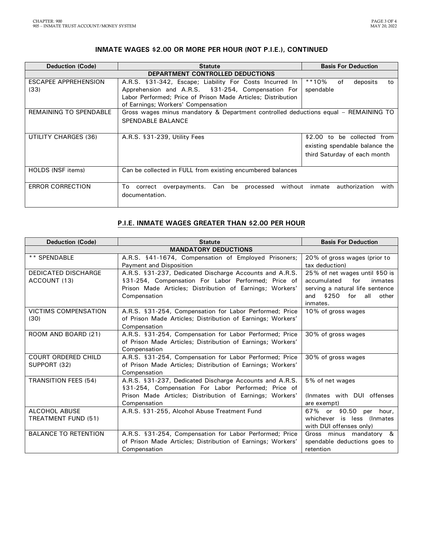### **INMATE WAGES \$2.00 OR MORE PER HOUR (NOT P.I.E.), CONTINUED**

| <b>Statute</b>                                                 | <b>Basis For Deduction</b>                                                                                                                                                                                                   |  |  |  |
|----------------------------------------------------------------|------------------------------------------------------------------------------------------------------------------------------------------------------------------------------------------------------------------------------|--|--|--|
| DEPARTMENT CONTROLLED DEDUCTIONS                               |                                                                                                                                                                                                                              |  |  |  |
| A.R.S. §31-342, Escape; Liability For Costs Incurred In        | **10%<br>of<br>deposits<br>to                                                                                                                                                                                                |  |  |  |
| Apprehension and A.R.S. §31-254, Compensation For<br>spendable |                                                                                                                                                                                                                              |  |  |  |
| Labor Performed; Price of Prison Made Articles; Distribution   |                                                                                                                                                                                                                              |  |  |  |
| of Earnings; Workers' Compensation                             |                                                                                                                                                                                                                              |  |  |  |
|                                                                |                                                                                                                                                                                                                              |  |  |  |
| SPENDABLE BALANCE                                              |                                                                                                                                                                                                                              |  |  |  |
|                                                                |                                                                                                                                                                                                                              |  |  |  |
| A.R.S. §31-239, Utility Fees                                   | \$2.00 to be collected from                                                                                                                                                                                                  |  |  |  |
|                                                                | existing spendable balance the                                                                                                                                                                                               |  |  |  |
|                                                                | third Saturday of each month                                                                                                                                                                                                 |  |  |  |
|                                                                |                                                                                                                                                                                                                              |  |  |  |
|                                                                |                                                                                                                                                                                                                              |  |  |  |
|                                                                |                                                                                                                                                                                                                              |  |  |  |
|                                                                | with<br>inmate<br>authorization                                                                                                                                                                                              |  |  |  |
|                                                                |                                                                                                                                                                                                                              |  |  |  |
|                                                                |                                                                                                                                                                                                                              |  |  |  |
|                                                                | Gross wages minus mandatory & Department controlled deductions equal - REMAINING TO<br>Can be collected in FULL from existing encumbered balances<br>correct overpayments. Can be processed without<br>To:<br>documentation. |  |  |  |

### **P.I.E. INMATE WAGES GREATER THAN \$2.00 PER HOUR**

| <b>Deduction (Code)</b><br><b>Statute</b>                                                            |                                                                               | <b>Basis For Deduction</b>                    |  |  |  |
|------------------------------------------------------------------------------------------------------|-------------------------------------------------------------------------------|-----------------------------------------------|--|--|--|
| <b>MANDATORY DEDUCTIONS</b>                                                                          |                                                                               |                                               |  |  |  |
| ** SPENDABLE                                                                                         | A.R.S. §41-1674, Compensation of Employed Prisoners;                          | 20% of gross wages (prior to                  |  |  |  |
|                                                                                                      | Payment and Disposition                                                       |                                               |  |  |  |
| <b>DEDICATED DISCHARGE</b>                                                                           | A.R.S. §31-237, Dedicated Discharge Accounts and A.R.S.                       | 25% of net wages until \$50 is                |  |  |  |
| ACCOUNT (13)                                                                                         | §31-254, Compensation For Labor Performed; Price of                           | accumulated<br>for<br>inmates                 |  |  |  |
|                                                                                                      | Prison Made Articles; Distribution of Earnings; Workers'                      | serving a natural life sentence               |  |  |  |
|                                                                                                      | Compensation                                                                  | and $$250$<br>for<br>all<br>other<br>inmates. |  |  |  |
| <b>VICTIMS COMPENSATION</b>                                                                          | A.R.S. §31-254, Compensation for Labor Performed; Price                       | 10% of gross wages                            |  |  |  |
| (30)                                                                                                 | of Prison Made Articles; Distribution of Earnings; Workers'                   |                                               |  |  |  |
|                                                                                                      | Compensation                                                                  |                                               |  |  |  |
| ROOM AND BOARD (21)<br>A.R.S. §31-254, Compensation for Labor Performed; Price<br>30% of gross wages |                                                                               |                                               |  |  |  |
|                                                                                                      | of Prison Made Articles; Distribution of Earnings; Workers'                   |                                               |  |  |  |
|                                                                                                      | Compensation                                                                  |                                               |  |  |  |
| <b>COURT ORDERED CHILD</b>                                                                           | A.R.S. §31-254, Compensation for Labor Performed; Price<br>30% of gross wages |                                               |  |  |  |
| of Prison Made Articles; Distribution of Earnings; Workers'<br>SUPPORT (32)                          |                                                                               |                                               |  |  |  |
|                                                                                                      | Compensation                                                                  |                                               |  |  |  |
| <b>TRANSITION FEES (54)</b>                                                                          | A.R.S. §31-237, Dedicated Discharge Accounts and A.R.S.                       | 5% of net wages                               |  |  |  |
|                                                                                                      | §31-254, Compensation For Labor Performed; Price of                           | (Inmates with DUI offenses                    |  |  |  |
|                                                                                                      | Prison Made Articles; Distribution of Earnings; Workers'<br>Compensation      |                                               |  |  |  |
| ALCOHOL ABUSE                                                                                        | A.R.S. §31-255, Alcohol Abuse Treatment Fund                                  | are exempt)<br>67% or \$0.50<br>hour,<br>per  |  |  |  |
| TREATMENT FUND (51)                                                                                  |                                                                               | whichever is less (Inmates                    |  |  |  |
|                                                                                                      |                                                                               | with DUI offenses only)                       |  |  |  |
| <b>BALANCE TO RETENTION</b>                                                                          | A.R.S. §31-254, Compensation for Labor Performed; Price                       | Gross minus mandatory &                       |  |  |  |
|                                                                                                      | of Prison Made Articles; Distribution of Earnings; Workers'                   | spendable deductions goes to                  |  |  |  |
|                                                                                                      | Compensation                                                                  | retention                                     |  |  |  |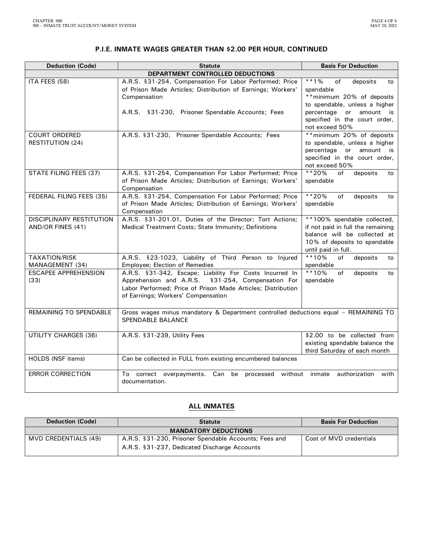| <b>P.I.E. INMATE WAGES GREATER THAN \$2.00 PER HOUR, CONTINUED</b> |
|--------------------------------------------------------------------|
|--------------------------------------------------------------------|

| <b>Deduction (Code)</b>                         | <b>Statute</b>                                                                                                                                                                                                        | <b>Basis For Deduction</b>                                                                                                                              |  |  |  |
|-------------------------------------------------|-----------------------------------------------------------------------------------------------------------------------------------------------------------------------------------------------------------------------|---------------------------------------------------------------------------------------------------------------------------------------------------------|--|--|--|
| DEPARTMENT CONTROLLED DEDUCTIONS                |                                                                                                                                                                                                                       |                                                                                                                                                         |  |  |  |
| ITA FEES (58)                                   | A.R.S. §31-254, Compensation For Labor Performed; Price<br>of Prison Made Articles; Distribution of Earnings; Workers'<br>Compensation<br>A.R.S. §31-230, Prisoner Spendable Accounts; Fees                           | $* * 1\%$<br>of<br>deposits<br>to<br>spendable<br>** minimum 20% of deposits<br>to spendable, unless a higher<br>percentage or<br>amount is             |  |  |  |
|                                                 |                                                                                                                                                                                                                       | specified in the court order,<br>not exceed 50%                                                                                                         |  |  |  |
| <b>COURT ORDERED</b><br><b>RESTITUTION (24)</b> | A.R.S. §31-230, Prisoner Spendable Accounts; Fees                                                                                                                                                                     | ** minimum 20% of deposits<br>to spendable, unless a higher<br>percentage<br>or<br>amount is<br>specified in the court order,<br>not exceed 50%         |  |  |  |
| STATE FILING FEES (37)                          | A.R.S. §31-254, Compensation For Labor Performed; Price<br>of Prison Made Articles; Distribution of Earnings; Workers'<br>Compensation                                                                                | **20%<br>of<br>deposits<br>to<br>spendable                                                                                                              |  |  |  |
| FEDERAL FILING FEES (35)                        | A.R.S. §31-254, Compensation For Labor Performed; Price<br>of Prison Made Articles; Distribution of Earnings; Workers'<br>Compensation                                                                                | **20%<br>of<br>deposits<br>to<br>spendable                                                                                                              |  |  |  |
| DISCIPLINARY RESTITUTION<br>AND/OR FINES (41)   | A.R.S. §31-201.01, Duties of the Director; Tort Actions;<br>Medical Treatment Costs; State Immunity; Definitions                                                                                                      | **100% spendable collected,<br>if not paid in full the remaining<br>balance will be collected at<br>10% of deposits to spendable<br>until paid in full. |  |  |  |
| <b>TAXATION/RISK</b><br>MANAGEMENT (34)         | A.R.S. §23-1023, Liability of Third Person to Injured<br>Employee; Election of Remedies                                                                                                                               | $**10%$<br>of<br>deposits<br>to<br>spendable                                                                                                            |  |  |  |
| <b>ESCAPEE APPREHENSION</b><br>(33)             | A.R.S. §31-342, Escape; Liability For Costs Incurred In<br>§31-254, Compensation For<br>Apprehension and A.R.S.<br>Labor Performed; Price of Prison Made Articles; Distribution<br>of Earnings; Workers' Compensation | $**10%$<br>deposits<br>of<br>to<br>spendable                                                                                                            |  |  |  |
| REMAINING TO SPENDABLE                          | Gross wages minus mandatory & Department controlled deductions equal - REMAINING TO<br>SPENDABLE BALANCE                                                                                                              |                                                                                                                                                         |  |  |  |
| <b>UTILITY CHARGES (36)</b>                     | A.R.S. §31-239, Utility Fees                                                                                                                                                                                          | \$2.00 to be collected from<br>existing spendable balance the<br>third Saturday of each month                                                           |  |  |  |
| HOLDS (NSF items)                               | Can be collected in FULL from existing encumbered balances                                                                                                                                                            |                                                                                                                                                         |  |  |  |
| <b>ERROR CORRECTION</b>                         | To correct overpayments. Can be processed without inmate authorization<br>documentation.                                                                                                                              | with                                                                                                                                                    |  |  |  |

### **ALL INMATES**

| <b>Deduction (Code)</b> | <b>Statute</b>                                        | <b>Basis For Deduction</b> |
|-------------------------|-------------------------------------------------------|----------------------------|
|                         | <b>MANDATORY DEDUCTIONS</b>                           |                            |
| MVD CREDENTIALS (49)    | A.R.S. §31-230, Prisoner Spendable Accounts; Fees and | Cost of MVD credentials    |
|                         | A.R.S. §31-237, Dedicated Discharge Accounts          |                            |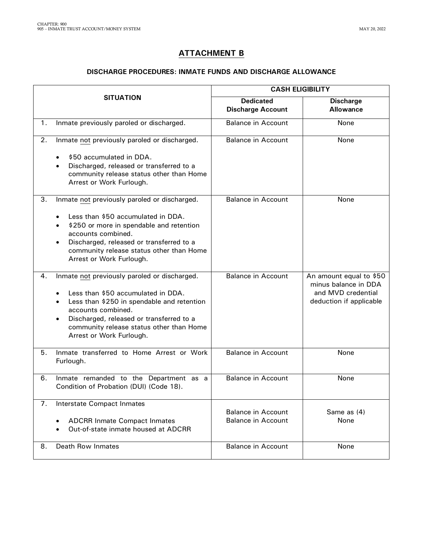## **ATTACHMENT B**

#### **DISCHARGE PROCEDURES: INMATE FUNDS AND DISCHARGE ALLOWANCE**

|                                                                                         |                                                                                                                                                                                                                                                                                                           | <b>CASH ELIGIBILITY</b>                                |                                                                                                  |  |
|-----------------------------------------------------------------------------------------|-----------------------------------------------------------------------------------------------------------------------------------------------------------------------------------------------------------------------------------------------------------------------------------------------------------|--------------------------------------------------------|--------------------------------------------------------------------------------------------------|--|
|                                                                                         | <b>SITUATION</b>                                                                                                                                                                                                                                                                                          | <b>Dedicated</b><br><b>Discharge Account</b>           | <b>Discharge</b><br><b>Allowance</b>                                                             |  |
| 1.                                                                                      | Inmate previously paroled or discharged.                                                                                                                                                                                                                                                                  | <b>Balance in Account</b>                              | None                                                                                             |  |
| 2.                                                                                      | Inmate not previously paroled or discharged.<br>\$50 accumulated in DDA.<br>Discharged, released or transferred to a<br>$\bullet$<br>community release status other than Home<br>Arrest or Work Furlough.                                                                                                 | <b>Balance in Account</b>                              | None                                                                                             |  |
| 3.                                                                                      | Inmate not previously paroled or discharged.<br>Less than \$50 accumulated in DDA.<br>\$250 or more in spendable and retention<br>$\bullet$<br>accounts combined.<br>Discharged, released or transferred to a<br>٠<br>community release status other than Home<br>Arrest or Work Furlough.                | <b>Balance in Account</b>                              | None                                                                                             |  |
| 4.                                                                                      | Inmate not previously paroled or discharged.<br>Less than \$50 accumulated in DDA.<br>٠<br>Less than \$250 in spendable and retention<br>$\bullet$<br>accounts combined.<br>Discharged, released or transferred to a<br>$\bullet$<br>community release status other than Home<br>Arrest or Work Furlough. | <b>Balance in Account</b>                              | An amount equal to \$50<br>minus balance in DDA<br>and MVD credential<br>deduction if applicable |  |
| 5.                                                                                      | Inmate transferred to Home Arrest or Work<br>Furlough.                                                                                                                                                                                                                                                    | <b>Balance in Account</b>                              | None                                                                                             |  |
| 6.<br>Inmate remanded to the Department as a<br>Condition of Probation (DUI) (Code 18). |                                                                                                                                                                                                                                                                                                           | <b>Balance in Account</b>                              | None                                                                                             |  |
| 7.                                                                                      | <b>Interstate Compact Inmates</b><br><b>ADCRR Inmate Compact Inmates</b><br>Out-of-state inmate housed at ADCRR                                                                                                                                                                                           | <b>Balance in Account</b><br><b>Balance in Account</b> | Same as (4)<br>None                                                                              |  |
| 8.                                                                                      | Death Row Inmates                                                                                                                                                                                                                                                                                         | <b>Balance in Account</b>                              | None                                                                                             |  |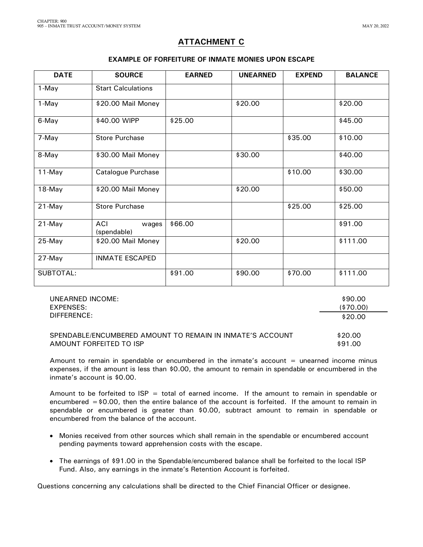\$90.00

\$91.00

### **ATTACHMENT C**

### **EXAMPLE OF FORFEITURE OF INMATE MONIES UPON ESCAPE**

| <b>DATE</b> | <b>SOURCE</b>               | <b>EARNED</b> | <b>UNEARNED</b> | <b>EXPEND</b> | <b>BALANCE</b> |
|-------------|-----------------------------|---------------|-----------------|---------------|----------------|
| 1-May       | <b>Start Calculations</b>   |               |                 |               |                |
| 1-May       | \$20.00 Mail Money          |               | \$20.00         |               | \$20.00        |
| 6-May       | \$40.00 WIPP                | \$25.00       |                 |               | \$45.00        |
| 7-May       | <b>Store Purchase</b>       |               |                 | \$35.00       | \$10.00        |
| 8-May       | \$30.00 Mail Money          |               | \$30.00         |               | \$40.00        |
| $11$ -May   | Catalogue Purchase          |               |                 | \$10.00       | \$30.00        |
| 18-May      | \$20.00 Mail Money          |               | \$20.00         |               | \$50.00        |
| 21-May      | <b>Store Purchase</b>       |               |                 | \$25.00       | \$25.00        |
| $21$ -May   | ACI<br>wages<br>(spendable) | \$66.00       |                 |               | \$91.00        |
| 25-May      | \$20.00 Mail Money          |               | \$20.00         |               | \$111.00       |
| 27-May      | <b>INMATE ESCAPED</b>       |               |                 |               |                |
| SUBTOTAL:   |                             | \$91.00       | \$90.00         | \$70.00       | \$111.00       |

UNEARNED INCOME: EXP DIF

| EXPENSES:                                                 | (\$70.00) |
|-----------------------------------------------------------|-----------|
| DIFFERENCE:                                               | \$20.00   |
| SPENDABLE/ENCUMBERED AMOUNT TO REMAIN IN INMATE'S ACCOUNT | \$20.00   |

AMOUNT FORFEITED TO ISP Amount to remain in spendable or encumbered in the inmate's account  $=$  unearned income minus

expenses, if the amount is less than \$0.00, the amount to remain in spendable or encumbered in the inmate's account is \$0.00.

Amount to be forfeited to  $ISP = total$  of earned income. If the amount to remain in spendable or encumbered  $=$  \$0.00, then the entire balance of the account is forfeited. If the amount to remain in spendable or encumbered is greater than \$0.00, subtract amount to remain in spendable or encumbered from the balance of the account.

- Monies received from other sources which shall remain in the spendable or encumbered account pending payments toward apprehension costs with the escape.
- The earnings of \$91.00 in the Spendable/encumbered balance shall be forfeited to the local ISP Fund. Also, any earnings in the inmate's Retention Account is forfeited.

Questions concerning any calculations shall be directed to the Chief Financial Officer or designee.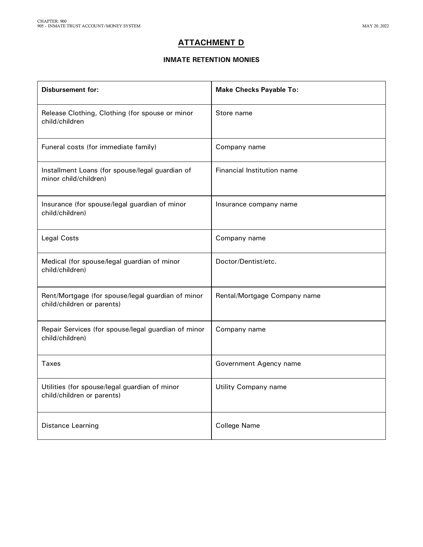### **ATTACHMENT D**

### **INMATE RETENTION MONIES**

| <b>Disbursement for:</b>                                                        | <b>Make Checks Payable To:</b> |
|---------------------------------------------------------------------------------|--------------------------------|
| Release Clothing, Clothing (for spouse or minor<br>child/children               | Store name                     |
| Funeral costs (for immediate family)                                            | Company name                   |
| Installment Loans (for spouse/legal guardian of<br>minor child/children)        | Financial Institution name     |
| Insurance (for spouse/legal guardian of minor<br>child/children)                | Insurance company name         |
| <b>Legal Costs</b>                                                              | Company name                   |
| Medical (for spouse/legal guardian of minor<br>child/children)                  | Doctor/Dentist/etc.            |
| Rent/Mortgage (for spouse/legal guardian of minor<br>child/children or parents) | Rental/Mortgage Company name   |
| Repair Services (for spouse/legal guardian of minor<br>child/children)          | Company name                   |
| Taxes                                                                           | Government Agency name         |
| Utilities (for spouse/legal guardian of minor<br>child/children or parents)     | Utility Company name           |
| Distance Learning                                                               | <b>College Name</b>            |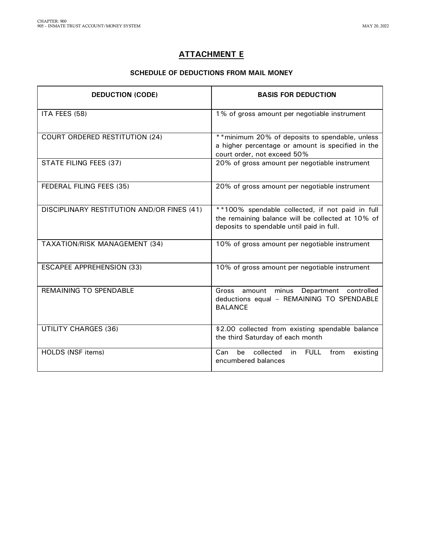## **ATTACHMENT E**

### **SCHEDULE OF DEDUCTIONS FROM MAIL MONEY**

| <b>DEDUCTION (CODE)</b>                    | <b>BASIS FOR DEDUCTION</b>                                                                                                                        |
|--------------------------------------------|---------------------------------------------------------------------------------------------------------------------------------------------------|
| ITA FEES (58)                              | 1% of gross amount per negotiable instrument                                                                                                      |
| <b>COURT ORDERED RESTITUTION (24)</b>      | ** minimum 20% of deposits to spendable, unless<br>a higher percentage or amount is specified in the<br>court order, not exceed 50%               |
| STATE FILING FEES (37)                     | 20% of gross amount per negotiable instrument                                                                                                     |
| FEDERAL FILING FEES (35)                   | 20% of gross amount per negotiable instrument                                                                                                     |
| DISCIPLINARY RESTITUTION AND/OR FINES (41) | **100% spendable collected, if not paid in full<br>the remaining balance will be collected at 10% of<br>deposits to spendable until paid in full. |
| <b>TAXATION/RISK MANAGEMENT (34)</b>       | 10% of gross amount per negotiable instrument                                                                                                     |
| <b>ESCAPEE APPREHENSION (33)</b>           | 10% of gross amount per negotiable instrument                                                                                                     |
| <b>REMAINING TO SPENDABLE</b>              | Gross amount minus Department controlled<br>deductions equal - REMAINING TO SPENDABLE<br><b>BALANCE</b>                                           |
| <b>UTILITY CHARGES (36)</b>                | \$2.00 collected from existing spendable balance<br>the third Saturday of each month                                                              |
| HOLDS (NSF items)                          | collected<br>in<br><b>FULL</b><br>Can<br>from<br>be<br>existing<br>encumbered balances                                                            |